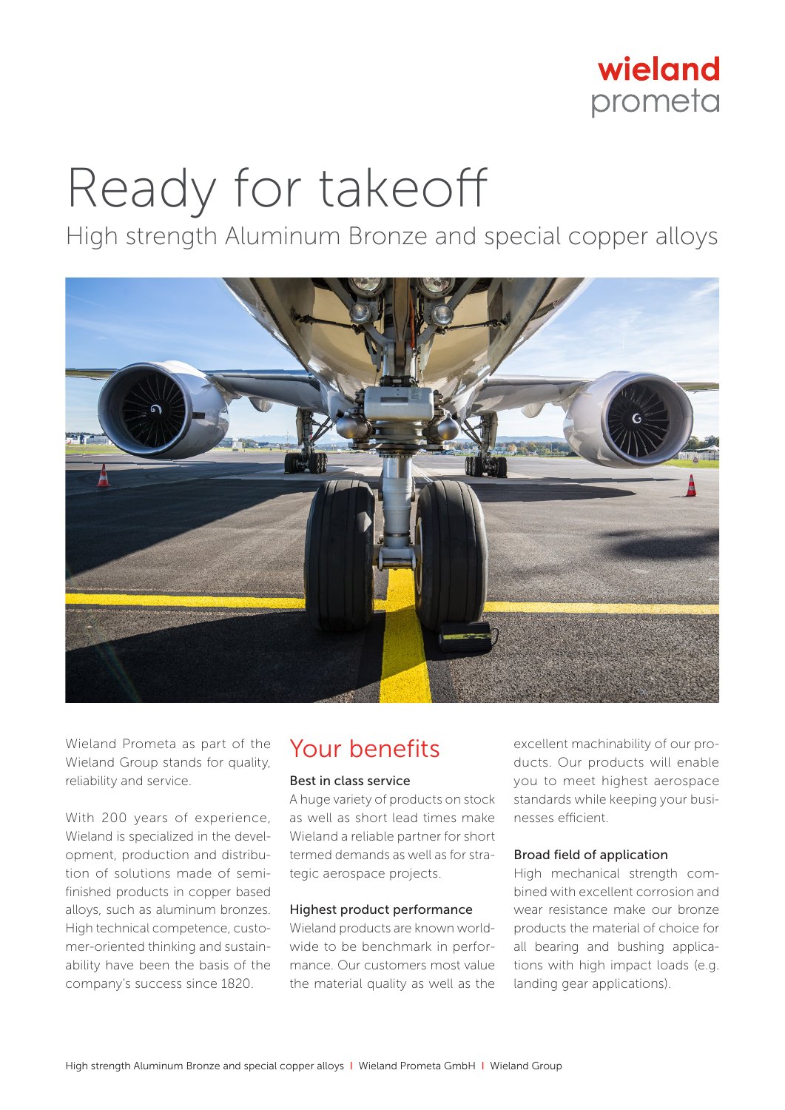

# Ready for takeoff

High strength Aluminum Bronze and special copper alloys



Wieland Prometa as part of the Wieland Group stands for quality, reliability and service.

With 200 years of experience, Wieland is specialized in the development, production and distribution of solutions made of semifinished products in copper based alloys, such as aluminum bronzes. High technical competence, customer-oriented thinking and sustainability have been the basis of the company's success since 1820.

# Your benefits

### Best in class service

A huge variety of products on stock as well as short lead times make Wieland a reliable partner for short termed demands as well as for strategic aerospace projects.

### Highest product performance

Wieland products are known worldwide to be benchmark in performance. Our customers most value the material quality as well as the

excellent machinability of our products. Our products will enable you to meet highest aerospace standards while keeping your businesses efficient.

#### Broad field of application

High mechanical strength combined with excellent corrosion and wear resistance make our bronze products the material of choice for all bearing and bushing applications with high impact loads (e.g. landing gear applications).